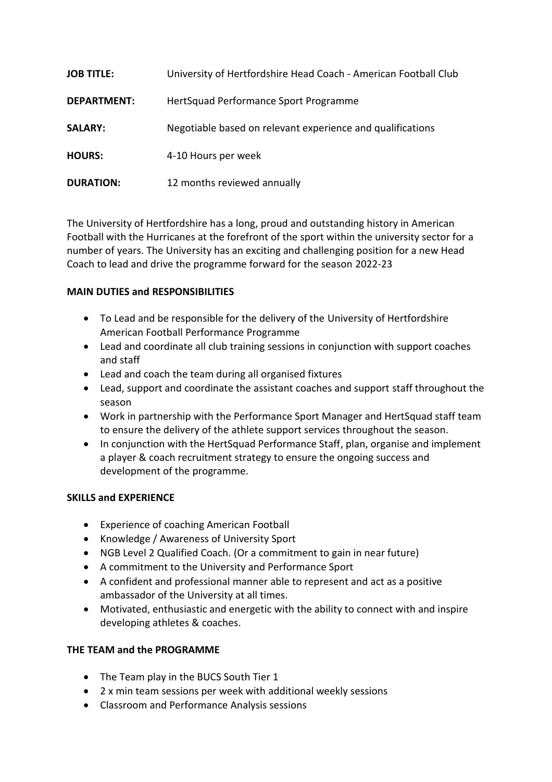| <b>JOB TITLE:</b>  | University of Hertfordshire Head Coach - American Football Club |
|--------------------|-----------------------------------------------------------------|
| <b>DEPARTMENT:</b> | HertSquad Performance Sport Programme                           |
| <b>SALARY:</b>     | Negotiable based on relevant experience and qualifications      |
| <b>HOURS:</b>      | 4-10 Hours per week                                             |
| <b>DURATION:</b>   | 12 months reviewed annually                                     |

The University of Hertfordshire has a long, proud and outstanding history in American Football with the Hurricanes at the forefront of the sport within the university sector for a number of years. The University has an exciting and challenging position for a new Head Coach to lead and drive the programme forward for the season 2022-23

## **MAIN DUTIES and RESPONSIBILITIES**

- To Lead and be responsible for the delivery of the University of Hertfordshire American Football Performance Programme
- Lead and coordinate all club training sessions in conjunction with support coaches and staff
- Lead and coach the team during all organised fixtures
- Lead, support and coordinate the assistant coaches and support staff throughout the season
- Work in partnership with the Performance Sport Manager and HertSquad staff team to ensure the delivery of the athlete support services throughout the season.
- In conjunction with the HertSquad Performance Staff, plan, organise and implement a player & coach recruitment strategy to ensure the ongoing success and development of the programme.

## **SKILLS and EXPERIENCE**

- Experience of coaching American Football
- Knowledge / Awareness of University Sport
- NGB Level 2 Qualified Coach. (Or a commitment to gain in near future)
- A commitment to the University and Performance Sport
- A confident and professional manner able to represent and act as a positive ambassador of the University at all times.
- Motivated, enthusiastic and energetic with the ability to connect with and inspire developing athletes & coaches.

## **THE TEAM and the PROGRAMME**

- The Team play in the BUCS South Tier 1
- 2 x min team sessions per week with additional weekly sessions
- Classroom and Performance Analysis sessions